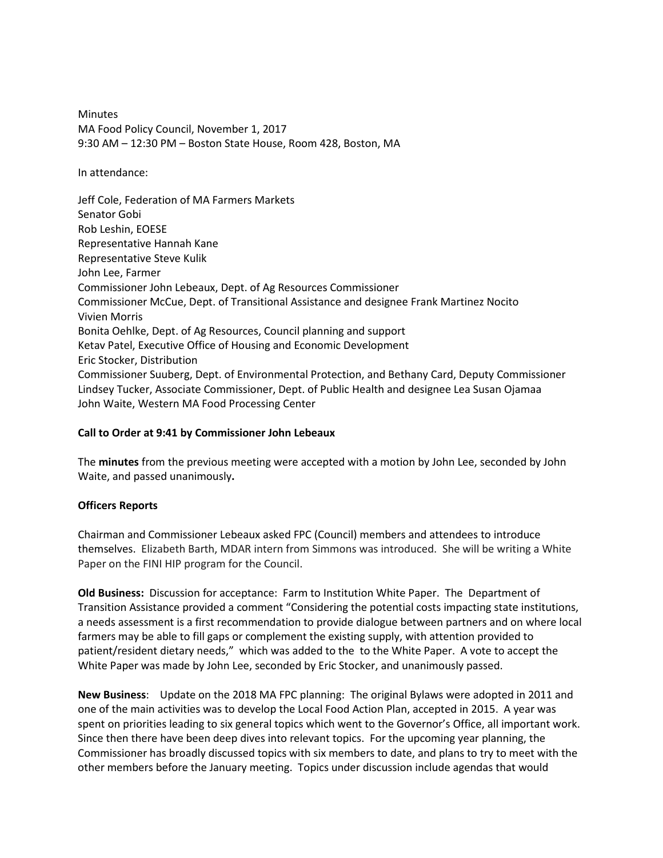Minutes MA Food Policy Council, November 1, 2017 9:30 AM – 12:30 PM – Boston State House, Room 428, Boston, MA

In attendance:

Jeff Cole, Federation of MA Farmers Markets Senator Gobi Rob Leshin, EOESE Representative Hannah Kane Representative Steve Kulik John Lee, Farmer Commissioner John Lebeaux, Dept. of Ag Resources Commissioner Commissioner McCue, Dept. of Transitional Assistance and designee Frank Martinez Nocito Vivien Morris Bonita Oehlke, Dept. of Ag Resources, Council planning and support Ketav Patel, Executive Office of Housing and Economic Development Eric Stocker, Distribution Commissioner Suuberg, Dept. of Environmental Protection, and Bethany Card, Deputy Commissioner Lindsey Tucker, Associate Commissioner, Dept. of Public Health and designee Lea Susan Ojamaa John Waite, Western MA Food Processing Center

# **Call to Order at 9:41 by Commissioner John Lebeaux**

The **minutes** from the previous meeting were accepted with a motion by John Lee, seconded by John Waite, and passed unanimously**.** 

# **Officers Reports**

Chairman and Commissioner Lebeaux asked FPC (Council) members and attendees to introduce themselves. Elizabeth Barth, MDAR intern from Simmons was introduced. She will be writing a White Paper on the FINI HIP program for the Council.

**Old Business:** Discussion for acceptance: Farm to Institution White Paper. The Department of Transition Assistance provided a comment "Considering the potential costs impacting state institutions, a needs assessment is a first recommendation to provide dialogue between partners and on where local farmers may be able to fill gaps or complement the existing supply, with attention provided to patient/resident dietary needs," which was added to the to the White Paper. A vote to accept the White Paper was made by John Lee, seconded by Eric Stocker, and unanimously passed.

**New Business**: Update on the 2018 MA FPC planning: The original Bylaws were adopted in 2011 and one of the main activities was to develop the Local Food Action Plan, accepted in 2015. A year was spent on priorities leading to six general topics which went to the Governor's Office, all important work. Since then there have been deep dives into relevant topics. For the upcoming year planning, the Commissioner has broadly discussed topics with six members to date, and plans to try to meet with the other members before the January meeting. Topics under discussion include agendas that would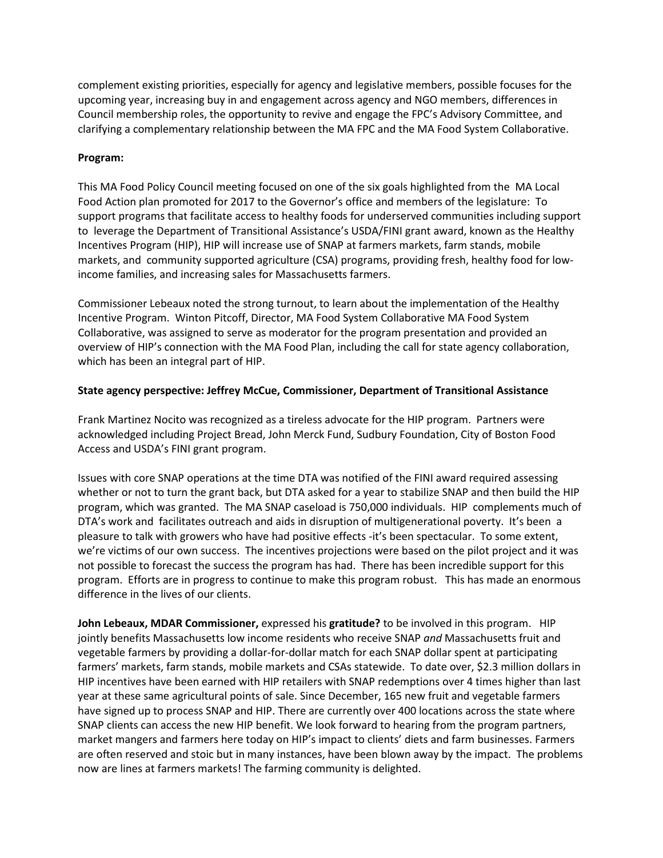complement existing priorities, especially for agency and legislative members, possible focuses for the upcoming year, increasing buy in and engagement across agency and NGO members, differences in Council membership roles, the opportunity to revive and engage the FPC's Advisory Committee, and clarifying a complementary relationship between the MA FPC and the MA Food System Collaborative.

# **Program:**

This MA Food Policy Council meeting focused on one of the six goals highlighted from the MA Local Food Action plan promoted for 2017 to the Governor's office and members of the legislature: To support programs that facilitate access to healthy foods for underserved communities including support to leverage the Department of Transitional Assistance's USDA/FINI grant award, known as the Healthy Incentives Program (HIP), HIP will increase use of SNAP at farmers markets, farm stands, mobile markets, and community supported agriculture (CSA) programs, providing fresh, healthy food for lowincome families, and increasing sales for Massachusetts farmers.

Commissioner Lebeaux noted the strong turnout, to learn about the implementation of the Healthy Incentive Program. Winton Pitcoff, Director, MA Food System Collaborative MA Food System Collaborative, was assigned to serve as moderator for the program presentation and provided an overview of HIP's connection with the MA Food Plan, including the call for state agency collaboration, which has been an integral part of HIP.

# **State agency perspective: Jeffrey McCue, Commissioner, Department of Transitional Assistance**

Frank Martinez Nocito was recognized as a tireless advocate for the HIP program. Partners were acknowledged including Project Bread, John Merck Fund, Sudbury Foundation, City of Boston Food Access and USDA's FINI grant program.

Issues with core SNAP operations at the time DTA was notified of the FINI award required assessing whether or not to turn the grant back, but DTA asked for a year to stabilize SNAP and then build the HIP program, which was granted. The MA SNAP caseload is 750,000 individuals. HIP complements much of DTA's work and facilitates outreach and aids in disruption of multigenerational poverty. It's been a pleasure to talk with growers who have had positive effects -it's been spectacular. To some extent, we're victims of our own success. The incentives projections were based on the pilot project and it was not possible to forecast the success the program has had. There has been incredible support for this program. Efforts are in progress to continue to make this program robust. This has made an enormous difference in the lives of our clients.

**John Lebeaux, MDAR Commissioner,** expressed his **gratitude?** to be involved in this program. HIP jointly benefits Massachusetts low income residents who receive SNAP *and* Massachusetts fruit and vegetable farmers by providing a dollar-for-dollar match for each SNAP dollar spent at participating farmers' markets, farm stands, mobile markets and CSAs statewide. To date over, \$2.3 million dollars in HIP incentives have been earned with HIP retailers with SNAP redemptions over 4 times higher than last year at these same agricultural points of sale. Since December, 165 new fruit and vegetable farmers have signed up to process SNAP and HIP. There are currently over 400 locations across the state where SNAP clients can access the new HIP benefit. We look forward to hearing from the program partners, market mangers and farmers here today on HIP's impact to clients' diets and farm businesses. Farmers are often reserved and stoic but in many instances, have been blown away by the impact. The problems now are lines at farmers markets! The farming community is delighted.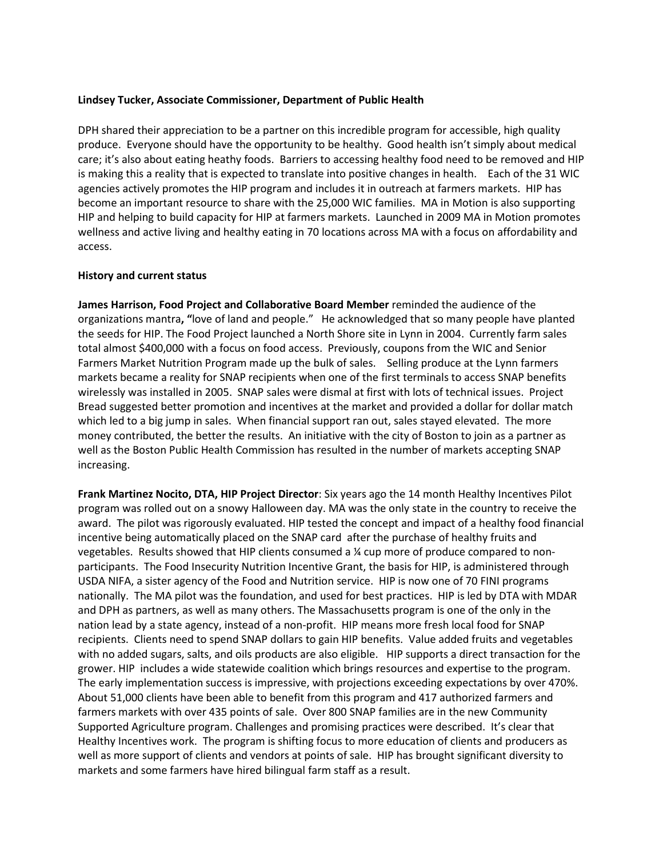### **Lindsey Tucker, Associate Commissioner, Department of Public Health**

DPH shared their appreciation to be a partner on this incredible program for accessible, high quality produce. Everyone should have the opportunity to be healthy. Good health isn't simply about medical care; it's also about eating heathy foods. Barriers to accessing healthy food need to be removed and HIP is making this a reality that is expected to translate into positive changes in health. Each of the 31 WIC agencies actively promotes the HIP program and includes it in outreach at farmers markets. HIP has become an important resource to share with the 25,000 WIC families. MA in Motion is also supporting HIP and helping to build capacity for HIP at farmers markets. Launched in 2009 MA in Motion promotes wellness and active living and healthy eating in 70 locations across MA with a focus on affordability and access.

### **History and current status**

**James Harrison, Food Project and Collaborative Board Member** reminded the audience of the organizations mantra**, "**love of land and people." He acknowledged that so many people have planted the seeds for HIP. The Food Project launched a North Shore site in Lynn in 2004. Currently farm sales total almost \$400,000 with a focus on food access. Previously, coupons from the WIC and Senior Farmers Market Nutrition Program made up the bulk of sales. Selling produce at the Lynn farmers markets became a reality for SNAP recipients when one of the first terminals to access SNAP benefits wirelessly was installed in 2005. SNAP sales were dismal at first with lots of technical issues. Project Bread suggested better promotion and incentives at the market and provided a dollar for dollar match which led to a big jump in sales. When financial support ran out, sales stayed elevated. The more money contributed, the better the results. An initiative with the city of Boston to join as a partner as well as the Boston Public Health Commission has resulted in the number of markets accepting SNAP increasing.

**Frank Martinez Nocito, DTA, HIP Project Director**: Six years ago the 14 month Healthy Incentives Pilot program was rolled out on a snowy Halloween day. MA was the only state in the country to receive the award. The pilot was rigorously evaluated. HIP tested the concept and impact of a healthy food financial incentive being automatically placed on the SNAP card after the purchase of healthy fruits and vegetables. Results showed that HIP clients consumed a ¼ cup more of produce compared to nonparticipants. The Food Insecurity Nutrition Incentive Grant, the basis for HIP, is administered through USDA NIFA, a sister agency of the Food and Nutrition service. HIP is now one of 70 FINI programs nationally. The MA pilot was the foundation, and used for best practices. HIP is led by DTA with MDAR and DPH as partners, as well as many others. The Massachusetts program is one of the only in the nation lead by a state agency, instead of a non-profit. HIP means more fresh local food for SNAP recipients. Clients need to spend SNAP dollars to gain HIP benefits. Value added fruits and vegetables with no added sugars, salts, and oils products are also eligible. HIP supports a direct transaction for the grower. HIP includes a wide statewide coalition which brings resources and expertise to the program. The early implementation success is impressive, with projections exceeding expectations by over 470%. About 51,000 clients have been able to benefit from this program and 417 authorized farmers and farmers markets with over 435 points of sale. Over 800 SNAP families are in the new Community Supported Agriculture program. Challenges and promising practices were described. It's clear that Healthy Incentives work. The program is shifting focus to more education of clients and producers as well as more support of clients and vendors at points of sale. HIP has brought significant diversity to markets and some farmers have hired bilingual farm staff as a result.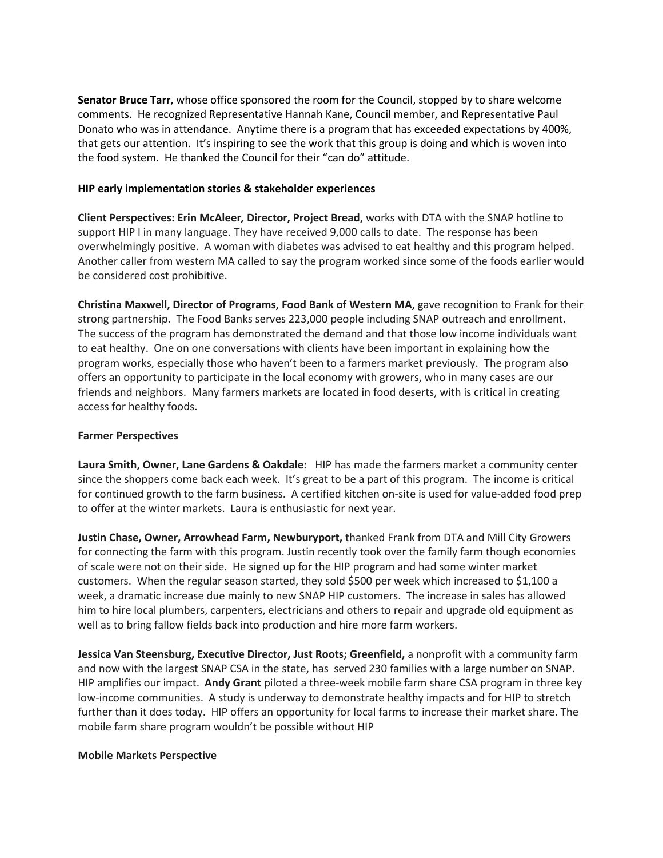**Senator Bruce Tarr**, whose office sponsored the room for the Council, stopped by to share welcome comments. He recognized Representative Hannah Kane, Council member, and Representative Paul Donato who was in attendance. Anytime there is a program that has exceeded expectations by 400%, that gets our attention. It's inspiring to see the work that this group is doing and which is woven into the food system. He thanked the Council for their "can do" attitude.

### **HIP early implementation stories & stakeholder experiences**

**Client Perspectives: Erin McAleer***,* **Director, Project Bread,** works with DTA with the SNAP hotline to support HIP l in many language. They have received 9,000 calls to date. The response has been overwhelmingly positive. A woman with diabetes was advised to eat healthy and this program helped. Another caller from western MA called to say the program worked since some of the foods earlier would be considered cost prohibitive.

**Christina Maxwell, Director of Programs, Food Bank of Western MA,** gave recognition to Frank for their strong partnership. The Food Banks serves 223,000 people including SNAP outreach and enrollment. The success of the program has demonstrated the demand and that those low income individuals want to eat healthy. One on one conversations with clients have been important in explaining how the program works, especially those who haven't been to a farmers market previously. The program also offers an opportunity to participate in the local economy with growers, who in many cases are our friends and neighbors. Many farmers markets are located in food deserts, with is critical in creating access for healthy foods.

### **Farmer Perspectives**

**Laura Smith, Owner, Lane Gardens & Oakdale:** HIP has made the farmers market a community center since the shoppers come back each week. It's great to be a part of this program. The income is critical for continued growth to the farm business. A certified kitchen on-site is used for value-added food prep to offer at the winter markets. Laura is enthusiastic for next year.

**Justin Chase, Owner, Arrowhead Farm, Newburyport,** thanked Frank from DTA and Mill City Growers for connecting the farm with this program. Justin recently took over the family farm though economies of scale were not on their side. He signed up for the HIP program and had some winter market customers. When the regular season started, they sold \$500 per week which increased to \$1,100 a week, a dramatic increase due mainly to new SNAP HIP customers. The increase in sales has allowed him to hire local plumbers, carpenters, electricians and others to repair and upgrade old equipment as well as to bring fallow fields back into production and hire more farm workers.

**Jessica Van Steensburg, Executive Director, Just Roots; Greenfield,** a nonprofit with a community farm and now with the largest SNAP CSA in the state, has served 230 families with a large number on SNAP. HIP amplifies our impact. **Andy Grant** piloted a three-week mobile farm share CSA program in three key low-income communities. A study is underway to demonstrate healthy impacts and for HIP to stretch further than it does today. HIP offers an opportunity for local farms to increase their market share. The mobile farm share program wouldn't be possible without HIP

#### **Mobile Markets Perspective**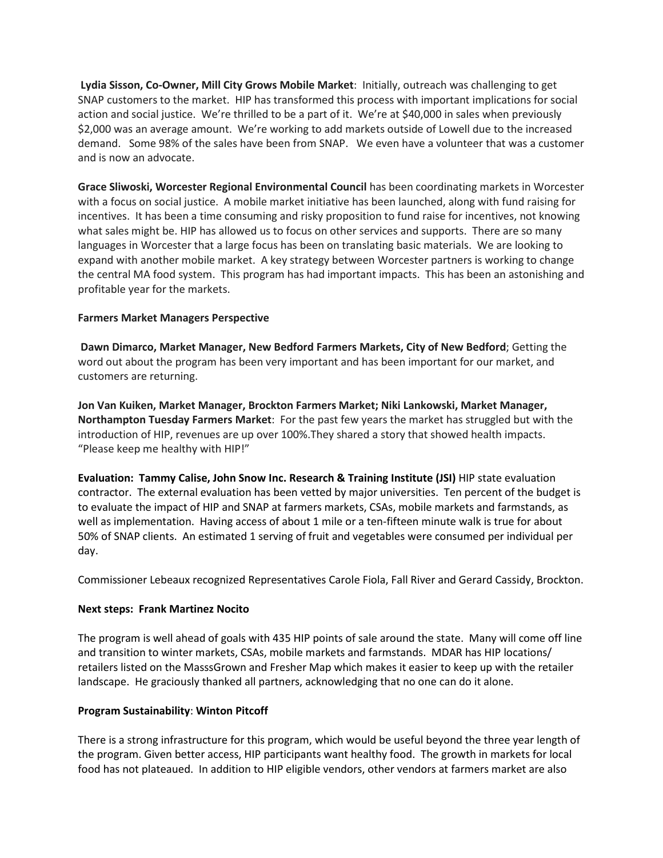**Lydia Sisson, Co-Owner, Mill City Grows Mobile Market**: Initially, outreach was challenging to get SNAP customers to the market. HIP has transformed this process with important implications for social action and social justice. We're thrilled to be a part of it. We're at \$40,000 in sales when previously \$2,000 was an average amount. We're working to add markets outside of Lowell due to the increased demand. Some 98% of the sales have been from SNAP. We even have a volunteer that was a customer and is now an advocate.

**Grace Sliwoski, Worcester Regional Environmental Council** has been coordinating markets in Worcester with a focus on social justice. A mobile market initiative has been launched, along with fund raising for incentives. It has been a time consuming and risky proposition to fund raise for incentives, not knowing what sales might be. HIP has allowed us to focus on other services and supports. There are so many languages in Worcester that a large focus has been on translating basic materials. We are looking to expand with another mobile market. A key strategy between Worcester partners is working to change the central MA food system. This program has had important impacts. This has been an astonishing and profitable year for the markets.

# **Farmers Market Managers Perspective**

**Dawn Dimarco, Market Manager, New Bedford Farmers Markets, City of New Bedford**; Getting the word out about the program has been very important and has been important for our market, and customers are returning.

**Jon Van Kuiken, Market Manager, Brockton Farmers Market; Niki Lankowski, Market Manager, Northampton Tuesday Farmers Market**: For the past few years the market has struggled but with the introduction of HIP, revenues are up over 100%.They shared a story that showed health impacts. "Please keep me healthy with HIP!"

**Evaluation: Tammy Calise, John Snow Inc. Research & Training Institute (JSI)** HIP state evaluation contractor. The external evaluation has been vetted by major universities. Ten percent of the budget is to evaluate the impact of HIP and SNAP at farmers markets, CSAs, mobile markets and farmstands, as well as implementation. Having access of about 1 mile or a ten-fifteen minute walk is true for about 50% of SNAP clients. An estimated 1 serving of fruit and vegetables were consumed per individual per day.

Commissioner Lebeaux recognized Representatives Carole Fiola, Fall River and Gerard Cassidy, Brockton.

# **Next steps: Frank Martinez Nocito**

The program is well ahead of goals with 435 HIP points of sale around the state. Many will come off line and transition to winter markets, CSAs, mobile markets and farmstands. MDAR has HIP locations/ retailers listed on the MasssGrown and Fresher Map which makes it easier to keep up with the retailer landscape. He graciously thanked all partners, acknowledging that no one can do it alone.

# **Program Sustainability**: **Winton Pitcoff**

There is a strong infrastructure for this program, which would be useful beyond the three year length of the program. Given better access, HIP participants want healthy food. The growth in markets for local food has not plateaued. In addition to HIP eligible vendors, other vendors at farmers market are also